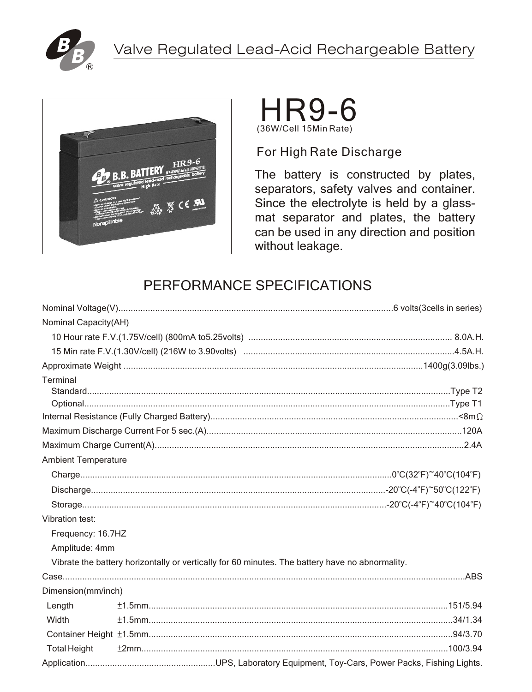





For High Rate Discharge

The battery is constructed by plates, separators, safety valves and container. Since the electrolyte is held by a glassmat separator and plates, the battery can be used in any direction and position without leakage.

# PERFORMANCE SPECIFICATIONS

| Nominal Capacity(AH)       |                                                                                                 |
|----------------------------|-------------------------------------------------------------------------------------------------|
|                            |                                                                                                 |
|                            |                                                                                                 |
|                            |                                                                                                 |
| Terminal                   |                                                                                                 |
|                            |                                                                                                 |
|                            |                                                                                                 |
|                            |                                                                                                 |
|                            |                                                                                                 |
|                            |                                                                                                 |
| <b>Ambient Temperature</b> |                                                                                                 |
|                            |                                                                                                 |
|                            |                                                                                                 |
|                            |                                                                                                 |
| Vibration test:            |                                                                                                 |
| Frequency: 16.7HZ          |                                                                                                 |
| Amplitude: 4mm             |                                                                                                 |
|                            | Vibrate the battery horizontally or vertically for 60 minutes. The battery have no abnormality. |
|                            |                                                                                                 |
| Dimension(mm/inch)         |                                                                                                 |
| Length                     |                                                                                                 |
| Width                      |                                                                                                 |
|                            |                                                                                                 |
| <b>Total Height</b>        |                                                                                                 |
|                            |                                                                                                 |